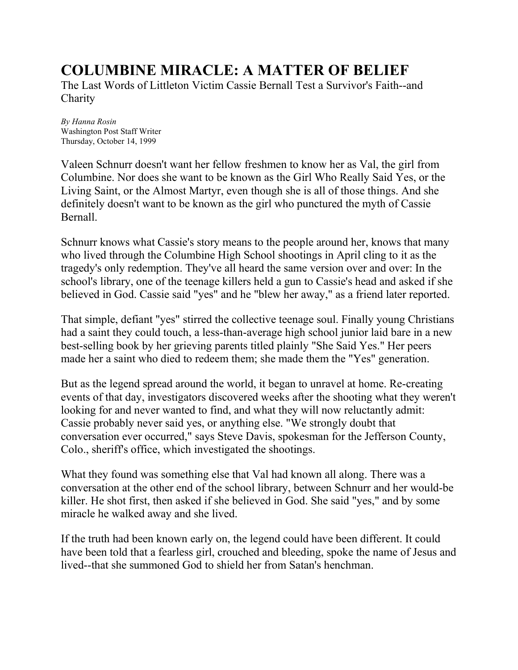# **COLUMBINE MIRACLE: A MATTER OF BELIEF**

The Last Words of Littleton Victim Cassie Bernall Test a Survivor's Faith--and **Charity** 

*By Hanna Rosin* Washington Post Staff Writer Thursday, October 14, 1999

Valeen Schnurr doesn't want her fellow freshmen to know her as Val, the girl from Columbine. Nor does she want to be known as the Girl Who Really Said Yes, or the Living Saint, or the Almost Martyr, even though she is all of those things. And she definitely doesn't want to be known as the girl who punctured the myth of Cassie Bernall.

Schnurr knows what Cassie's story means to the people around her, knows that many who lived through the Columbine High School shootings in April cling to it as the tragedy's only redemption. They've all heard the same version over and over: In the school's library, one of the teenage killers held a gun to Cassie's head and asked if she believed in God. Cassie said "yes" and he "blew her away," as a friend later reported.

That simple, defiant "yes" stirred the collective teenage soul. Finally young Christians had a saint they could touch, a less-than-average high school junior laid bare in a new best-selling book by her grieving parents titled plainly "She Said Yes." Her peers made her a saint who died to redeem them; she made them the "Yes" generation.

But as the legend spread around the world, it began to unravel at home. Re-creating events of that day, investigators discovered weeks after the shooting what they weren't looking for and never wanted to find, and what they will now reluctantly admit: Cassie probably never said yes, or anything else. "We strongly doubt that conversation ever occurred," says Steve Davis, spokesman for the Jefferson County, Colo., sheriff's office, which investigated the shootings.

What they found was something else that Val had known all along. There was a conversation at the other end of the school library, between Schnurr and her would-be killer. He shot first, then asked if she believed in God. She said "yes," and by some miracle he walked away and she lived.

If the truth had been known early on, the legend could have been different. It could have been told that a fearless girl, crouched and bleeding, spoke the name of Jesus and lived--that she summoned God to shield her from Satan's henchman.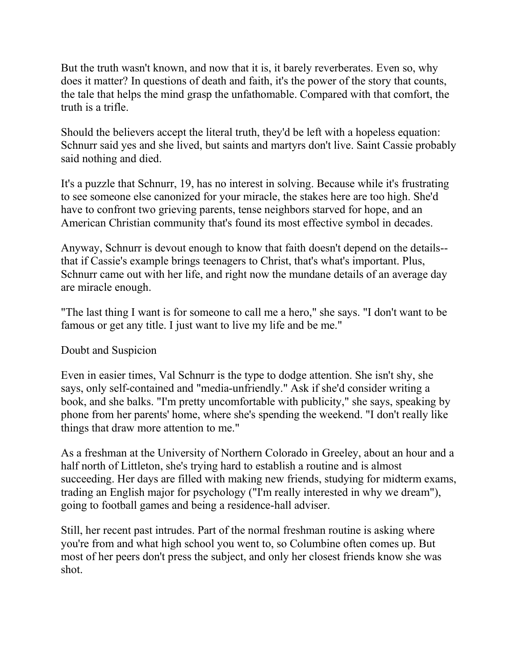But the truth wasn't known, and now that it is, it barely reverberates. Even so, why does it matter? In questions of death and faith, it's the power of the story that counts, the tale that helps the mind grasp the unfathomable. Compared with that comfort, the truth is a trifle.

Should the believers accept the literal truth, they'd be left with a hopeless equation: Schnurr said yes and she lived, but saints and martyrs don't live. Saint Cassie probably said nothing and died.

It's a puzzle that Schnurr, 19, has no interest in solving. Because while it's frustrating to see someone else canonized for your miracle, the stakes here are too high. She'd have to confront two grieving parents, tense neighbors starved for hope, and an American Christian community that's found its most effective symbol in decades.

Anyway, Schnurr is devout enough to know that faith doesn't depend on the details- that if Cassie's example brings teenagers to Christ, that's what's important. Plus, Schnurr came out with her life, and right now the mundane details of an average day are miracle enough.

"The last thing I want is for someone to call me a hero," she says. "I don't want to be famous or get any title. I just want to live my life and be me."

# Doubt and Suspicion

Even in easier times, Val Schnurr is the type to dodge attention. She isn't shy, she says, only self-contained and "media-unfriendly." Ask if she'd consider writing a book, and she balks. "I'm pretty uncomfortable with publicity," she says, speaking by phone from her parents' home, where she's spending the weekend. "I don't really like things that draw more attention to me."

As a freshman at the University of Northern Colorado in Greeley, about an hour and a half north of Littleton, she's trying hard to establish a routine and is almost succeeding. Her days are filled with making new friends, studying for midterm exams, trading an English major for psychology ("I'm really interested in why we dream"), going to football games and being a residence-hall adviser.

Still, her recent past intrudes. Part of the normal freshman routine is asking where you're from and what high school you went to, so Columbine often comes up. But most of her peers don't press the subject, and only her closest friends know she was shot.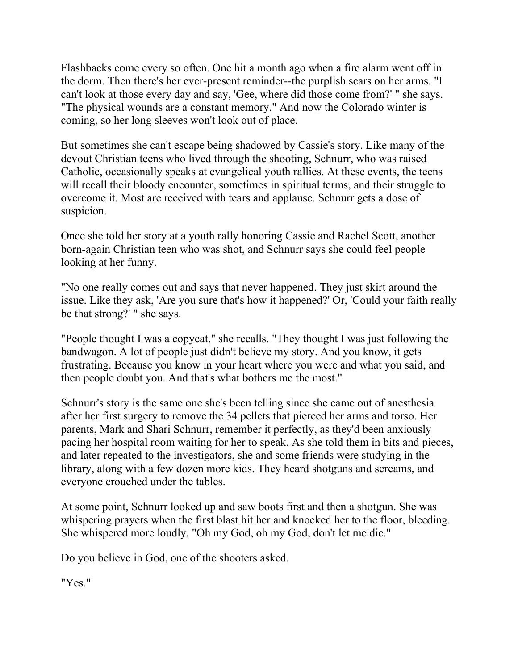Flashbacks come every so often. One hit a month ago when a fire alarm went off in the dorm. Then there's her ever-present reminder--the purplish scars on her arms. "I can't look at those every day and say, 'Gee, where did those come from?' " she says. "The physical wounds are a constant memory." And now the Colorado winter is coming, so her long sleeves won't look out of place.

But sometimes she can't escape being shadowed by Cassie's story. Like many of the devout Christian teens who lived through the shooting, Schnurr, who was raised Catholic, occasionally speaks at evangelical youth rallies. At these events, the teens will recall their bloody encounter, sometimes in spiritual terms, and their struggle to overcome it. Most are received with tears and applause. Schnurr gets a dose of suspicion.

Once she told her story at a youth rally honoring Cassie and Rachel Scott, another born-again Christian teen who was shot, and Schnurr says she could feel people looking at her funny.

"No one really comes out and says that never happened. They just skirt around the issue. Like they ask, 'Are you sure that's how it happened?' Or, 'Could your faith really be that strong?' " she says.

"People thought I was a copycat," she recalls. "They thought I was just following the bandwagon. A lot of people just didn't believe my story. And you know, it gets frustrating. Because you know in your heart where you were and what you said, and then people doubt you. And that's what bothers me the most."

Schnurr's story is the same one she's been telling since she came out of anesthesia after her first surgery to remove the 34 pellets that pierced her arms and torso. Her parents, Mark and Shari Schnurr, remember it perfectly, as they'd been anxiously pacing her hospital room waiting for her to speak. As she told them in bits and pieces, and later repeated to the investigators, she and some friends were studying in the library, along with a few dozen more kids. They heard shotguns and screams, and everyone crouched under the tables.

At some point, Schnurr looked up and saw boots first and then a shotgun. She was whispering prayers when the first blast hit her and knocked her to the floor, bleeding. She whispered more loudly, "Oh my God, oh my God, don't let me die."

Do you believe in God, one of the shooters asked.

"Yes."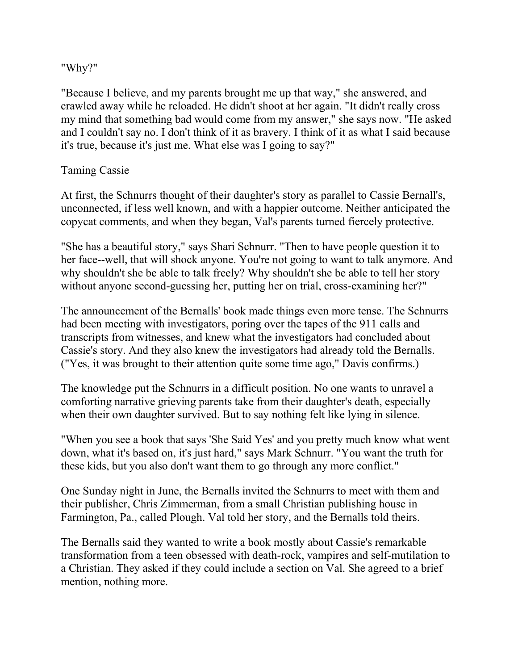#### "Why?"

"Because I believe, and my parents brought me up that way," she answered, and crawled away while he reloaded. He didn't shoot at her again. "It didn't really cross my mind that something bad would come from my answer," she says now. "He asked and I couldn't say no. I don't think of it as bravery. I think of it as what I said because it's true, because it's just me. What else was I going to say?"

# Taming Cassie

At first, the Schnurrs thought of their daughter's story as parallel to Cassie Bernall's, unconnected, if less well known, and with a happier outcome. Neither anticipated the copycat comments, and when they began, Val's parents turned fiercely protective.

"She has a beautiful story," says Shari Schnurr. "Then to have people question it to her face--well, that will shock anyone. You're not going to want to talk anymore. And why shouldn't she be able to talk freely? Why shouldn't she be able to tell her story without anyone second-guessing her, putting her on trial, cross-examining her?"

The announcement of the Bernalls' book made things even more tense. The Schnurrs had been meeting with investigators, poring over the tapes of the 911 calls and transcripts from witnesses, and knew what the investigators had concluded about Cassie's story. And they also knew the investigators had already told the Bernalls. ("Yes, it was brought to their attention quite some time ago," Davis confirms.)

The knowledge put the Schnurrs in a difficult position. No one wants to unravel a comforting narrative grieving parents take from their daughter's death, especially when their own daughter survived. But to say nothing felt like lying in silence.

"When you see a book that says 'She Said Yes' and you pretty much know what went down, what it's based on, it's just hard," says Mark Schnurr. "You want the truth for these kids, but you also don't want them to go through any more conflict."

One Sunday night in June, the Bernalls invited the Schnurrs to meet with them and their publisher, Chris Zimmerman, from a small Christian publishing house in Farmington, Pa., called Plough. Val told her story, and the Bernalls told theirs.

The Bernalls said they wanted to write a book mostly about Cassie's remarkable transformation from a teen obsessed with death-rock, vampires and self-mutilation to a Christian. They asked if they could include a section on Val. She agreed to a brief mention, nothing more.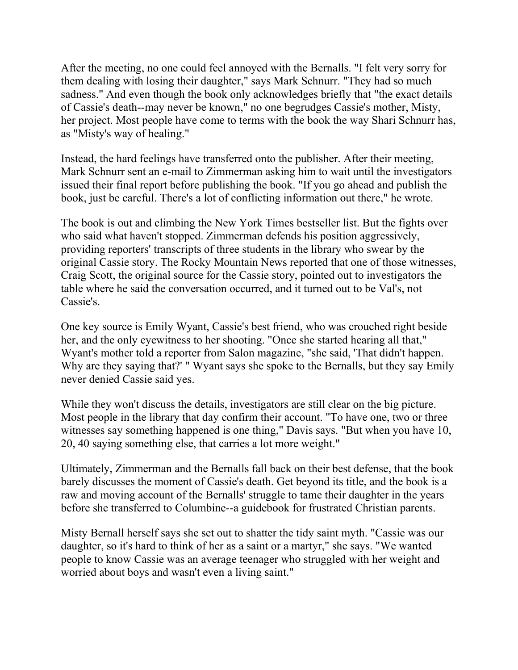After the meeting, no one could feel annoyed with the Bernalls. "I felt very sorry for them dealing with losing their daughter," says Mark Schnurr. "They had so much sadness." And even though the book only acknowledges briefly that "the exact details of Cassie's death--may never be known," no one begrudges Cassie's mother, Misty, her project. Most people have come to terms with the book the way Shari Schnurr has, as "Misty's way of healing."

Instead, the hard feelings have transferred onto the publisher. After their meeting, Mark Schnurr sent an e-mail to Zimmerman asking him to wait until the investigators issued their final report before publishing the book. "If you go ahead and publish the book, just be careful. There's a lot of conflicting information out there," he wrote.

The book is out and climbing the New York Times bestseller list. But the fights over who said what haven't stopped. Zimmerman defends his position aggressively, providing reporters' transcripts of three students in the library who swear by the original Cassie story. The Rocky Mountain News reported that one of those witnesses, Craig Scott, the original source for the Cassie story, pointed out to investigators the table where he said the conversation occurred, and it turned out to be Val's, not Cassie's.

One key source is Emily Wyant, Cassie's best friend, who was crouched right beside her, and the only eyewitness to her shooting. "Once she started hearing all that," Wyant's mother told a reporter from Salon magazine, "she said, 'That didn't happen. Why are they saying that?' " Wyant says she spoke to the Bernalls, but they say Emily never denied Cassie said yes.

While they won't discuss the details, investigators are still clear on the big picture. Most people in the library that day confirm their account. "To have one, two or three witnesses say something happened is one thing," Davis says. "But when you have 10, 20, 40 saying something else, that carries a lot more weight."

Ultimately, Zimmerman and the Bernalls fall back on their best defense, that the book barely discusses the moment of Cassie's death. Get beyond its title, and the book is a raw and moving account of the Bernalls' struggle to tame their daughter in the years before she transferred to Columbine--a guidebook for frustrated Christian parents.

Misty Bernall herself says she set out to shatter the tidy saint myth. "Cassie was our daughter, so it's hard to think of her as a saint or a martyr," she says. "We wanted people to know Cassie was an average teenager who struggled with her weight and worried about boys and wasn't even a living saint."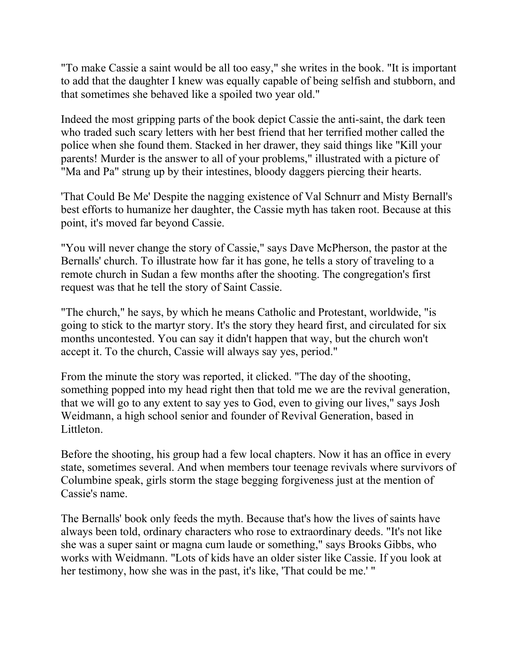"To make Cassie a saint would be all too easy," she writes in the book. "It is important to add that the daughter I knew was equally capable of being selfish and stubborn, and that sometimes she behaved like a spoiled two year old."

Indeed the most gripping parts of the book depict Cassie the anti-saint, the dark teen who traded such scary letters with her best friend that her terrified mother called the police when she found them. Stacked in her drawer, they said things like "Kill your parents! Murder is the answer to all of your problems," illustrated with a picture of "Ma and Pa" strung up by their intestines, bloody daggers piercing their hearts.

'That Could Be Me' Despite the nagging existence of Val Schnurr and Misty Bernall's best efforts to humanize her daughter, the Cassie myth has taken root. Because at this point, it's moved far beyond Cassie.

"You will never change the story of Cassie," says Dave McPherson, the pastor at the Bernalls' church. To illustrate how far it has gone, he tells a story of traveling to a remote church in Sudan a few months after the shooting. The congregation's first request was that he tell the story of Saint Cassie.

"The church," he says, by which he means Catholic and Protestant, worldwide, "is going to stick to the martyr story. It's the story they heard first, and circulated for six months uncontested. You can say it didn't happen that way, but the church won't accept it. To the church, Cassie will always say yes, period."

From the minute the story was reported, it clicked. "The day of the shooting, something popped into my head right then that told me we are the revival generation, that we will go to any extent to say yes to God, even to giving our lives," says Josh Weidmann, a high school senior and founder of Revival Generation, based in Littleton.

Before the shooting, his group had a few local chapters. Now it has an office in every state, sometimes several. And when members tour teenage revivals where survivors of Columbine speak, girls storm the stage begging forgiveness just at the mention of Cassie's name.

The Bernalls' book only feeds the myth. Because that's how the lives of saints have always been told, ordinary characters who rose to extraordinary deeds. "It's not like she was a super saint or magna cum laude or something," says Brooks Gibbs, who works with Weidmann. "Lots of kids have an older sister like Cassie. If you look at her testimony, how she was in the past, it's like, 'That could be me.' "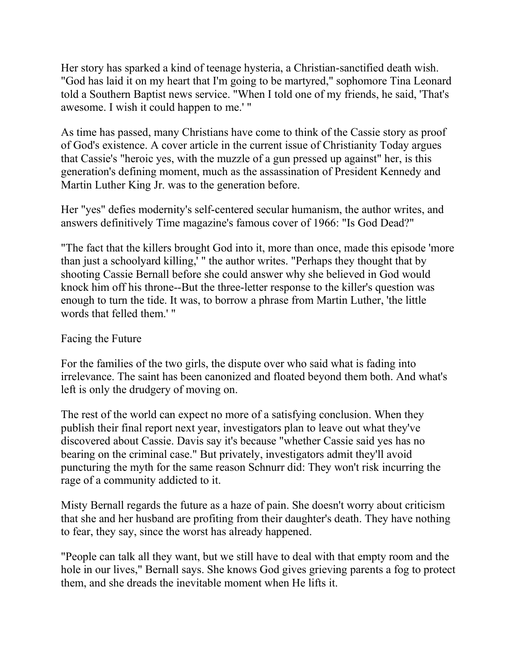Her story has sparked a kind of teenage hysteria, a Christian-sanctified death wish. "God has laid it on my heart that I'm going to be martyred," sophomore Tina Leonard told a Southern Baptist news service. "When I told one of my friends, he said, 'That's awesome. I wish it could happen to me.' "

As time has passed, many Christians have come to think of the Cassie story as proof of God's existence. A cover article in the current issue of Christianity Today argues that Cassie's "heroic yes, with the muzzle of a gun pressed up against" her, is this generation's defining moment, much as the assassination of President Kennedy and Martin Luther King Jr. was to the generation before.

Her "yes" defies modernity's self-centered secular humanism, the author writes, and answers definitively Time magazine's famous cover of 1966: "Is God Dead?"

"The fact that the killers brought God into it, more than once, made this episode 'more than just a schoolyard killing,' " the author writes. "Perhaps they thought that by shooting Cassie Bernall before she could answer why she believed in God would knock him off his throne--But the three-letter response to the killer's question was enough to turn the tide. It was, to borrow a phrase from Martin Luther, 'the little words that felled them.' "

# Facing the Future

For the families of the two girls, the dispute over who said what is fading into irrelevance. The saint has been canonized and floated beyond them both. And what's left is only the drudgery of moving on.

The rest of the world can expect no more of a satisfying conclusion. When they publish their final report next year, investigators plan to leave out what they've discovered about Cassie. Davis say it's because "whether Cassie said yes has no bearing on the criminal case." But privately, investigators admit they'll avoid puncturing the myth for the same reason Schnurr did: They won't risk incurring the rage of a community addicted to it.

Misty Bernall regards the future as a haze of pain. She doesn't worry about criticism that she and her husband are profiting from their daughter's death. They have nothing to fear, they say, since the worst has already happened.

"People can talk all they want, but we still have to deal with that empty room and the hole in our lives," Bernall says. She knows God gives grieving parents a fog to protect them, and she dreads the inevitable moment when He lifts it.